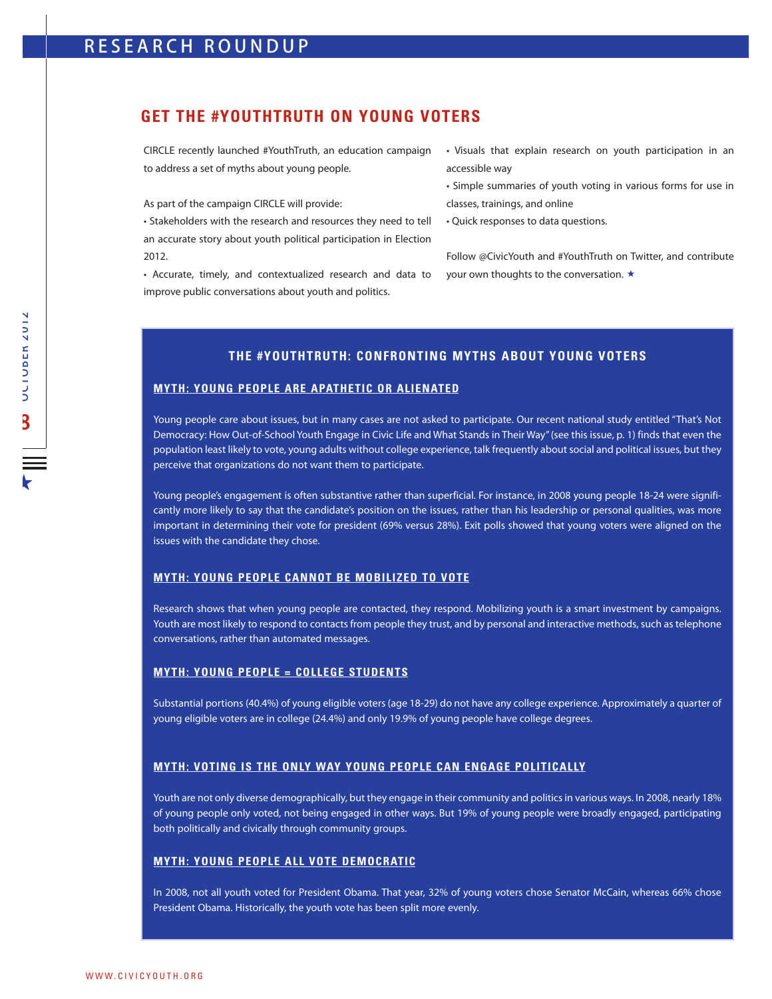## **GET THE #YOUTHTRUTH ON YOUNG VOTERS**

CIRCLE recently launched #YouthTruth, an education campaign to address a set of myths about young people.

As part of the campaign CIRCLE will provide:

• Stakeholders with the research and resources they need to tell an accurate story about youth political participation in Election 2012.

• Accurate, timely, and contextualized research and data to improve public conversations about youth and politics.

• Visuals that explain research on youth participation in an accessible way

- Simple summaries of youth voting in various forms for use in classes, trainings, and online
- Quick responses to data questions.

Follow @CivicYouth and #YouthTruth on Twitter, and contribute your own thoughts to the conversation.  $\star$ 

## **THE #YOUTHTRUTH: CONFRONTING MYTHS ABOUT YOUNG VOTERS**

### **MYTH: YOUNG PEOPLE ARE APATHETIC OR ALIENATED**

Young people care about issues, but in many cases are not asked to participate. Our recent national study entitled "That's Not Democracy: How Out-of-School Youth Engage in Civic Life and What Stands in Their Way" (see this issue, p. 1) finds that even the population least likely to vote, young adults without college experience, talk frequently about social and political issues, but they perceive that organizations do not want them to participate.

Young people's engagement is often substantive rather than superficial. For instance, in 2008 young people 18-24 were significantly more likely to say that the candidate's position on the issues, rather than his leadership or personal qualities, was more important in determining their vote for president (69% versus 28%). Exit polls showed that young voters were aligned on the issues with the candidate they chose.

#### **MYTH: YOUNG PEOPLE CANNOT BE MOBILIZED TO VOTE**

Research shows that when young people are contacted, they respond. Mobilizing youth is a smart investment by campaigns. Youth are most likely to respond to contacts from people they trust, and by personal and interactive methods, such as telephone conversations, rather than automated messages.

#### **MYTH: YOUNG PEOPLE = COLLEGE STUDENTS**

Substantial portions (40.4%) of young eligible voters (age 18-29) do not have any college experience. Approximately a quarter of young eligible voters are in college (24.4%) and only 19.9% of young people have college degrees.

#### **MYTH: VOTING IS THE ONLY WAY YOUNG PEOPLE CAN ENGAGE POLITICALLY**

Youth are not only diverse demographically, but they engage in their community and politics in various ways. In 2008, nearly 18% of young people only voted, not being engaged in other ways. But 19% of young people were broadly engaged, participating both politically and civically through community groups.

#### **MYTH: YOUNG PEOPLE ALL VOTE DEMOCRATIC**

In 2008, not all youth voted for President Obama. That year, 32% of young voters chose Senator McCain, whereas 66% chose President Obama. Historically, the youth vote has been split more evenly.